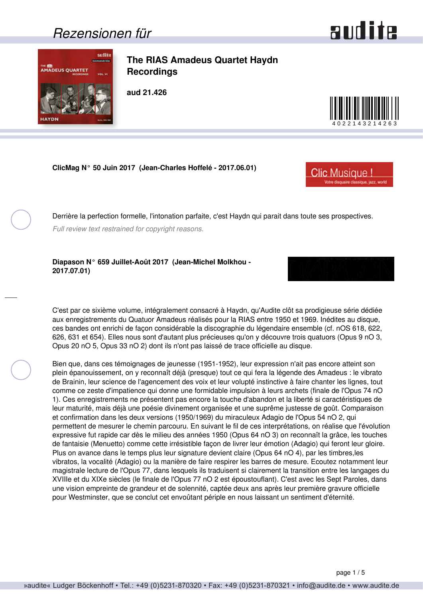### <span id="page-0-0"></span>*Rezensionen für*

sulite



**The RIAS Amadeus Quartet Haydn Recordings**

**aud 21.426**

**ClicMag N° 50 Juin 2017 (Jean-Charles Hoffelé - 2017.06.01)**

Derrière la perfection formelle, l'intonation parfaite, c'est Haydn qui parait dans toute ses prospectives.

*Full review text restrained for copyright reasons.*

**Diapason N° 659 Juillet-Août 2017 (Jean-Michel Molkhou - 2017.07.01)**

C'est par ce sixième volume, intégralement consacré à Haydn, qu'Audite clôt sa prodigieuse série dédiée aux enregistrements du Quatuor Amadeus réalisés pour la RIAS entre 1950 et 1969. Inédites au disque, ces bandes ont enrichi de façon considérable la discographie du légendaire ensemble (cf. nOS 618, 622, 626, 631 et 654). Elles nous sont d'autant plus précieuses qu'on y découvre trois quatuors (Opus 9 nO 3, Opus 20 nO 5, Opus 33 nO 2) dont ils n'ont pas laissé de trace officielle au disque.

Bien que, dans ces témoignages de jeunesse (1951-1952), leur expression n'ait pas encore atteint son plein épanouissement, on y reconnaît déjà (presque) tout ce qui fera la légende des Amadeus : le vibrato de Brainin, leur science de l'agencement des voix et leur volupté instinctive à faire chanter les lignes, tout comme ce zeste d'impatience qui donne une formidable impulsion à leurs archets (finale de l'Opus 74 nO 1). Ces enregistrements ne présentent pas encore la touche d'abandon et la liberté si caractéristiques de leur maturité, mais déjà une poésie divinement organisée et une suprême justesse de goût. Comparaison et confirmation dans les deux versions (1950/1969) du miraculeux Adagio de l'Opus 54 nO 2, qui permettent de mesurer le chemin parcouru. En suivant le fil de ces interprétations, on réalise que l'évolution expressive fut rapide car dès le milieu des années 1950 (Opus 64 nO 3) on reconnaît la grâce, les touches de fantaisie (Menuetto) comme cette irrésistible façon de livrer leur émotion (Adagio) qui feront leur gloire. Plus on avance dans le temps plus leur signature devient claire (Opus 64 nO 4), par les timbres,les vibratos, la vocalité (Adagio) ou la manière de faire respirer les barres de mesure. Ecoutez notamment leur magistrale lecture de l'Opus 77, dans lesquels ils traduisent si clairement la transition entre les langages du XVIIIe et du XIXe siècles (le finale de l'Opus 77 nO 2 est époustouflant). C'est avec les Sept Paroles, dans une vision empreinte de grandeur et de solennité, captée deux ans après leur première gravure officielle pour Westminster, que se conclut cet envoûtant périple en nous laissant un sentiment d'éternité.





**Clic Musique!** 

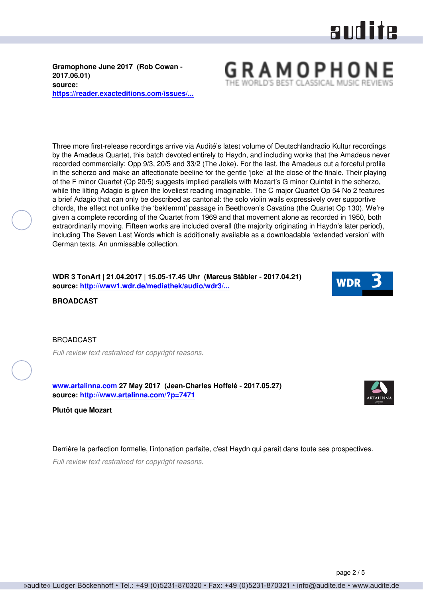# aud ite

GRAMOPHO

<span id="page-1-0"></span>**Gramophone June 2017 (Rob Cowan - 2017.06.01) source: [https://reader.exacteditions.com/issues/...](https://reader.exacteditions.com/issues/57091/page/109)**

Three more first-release recordings arrive via Audité's latest volume of Deutschlandradio Kultur recordings by the Amadeus Quartet, this batch devoted entirely to Haydn, and including works that the Amadeus never recorded commercially: Opp 9/3, 20/5 and 33/2 (The Joke). For the last, the Amadeus cut a forceful profile in the scherzo and make an affectionate beeline for the gentle 'joke' at the close of the finale. Their playing of the F minor Quartet (Op 20/5) suggests implied parallels with Mozart's G minor Quintet in the scherzo, while the lilting Adagio is given the loveliest reading imaginable. The C major Quartet Op 54 No 2 features a brief Adagio that can only be described as cantorial: the solo violin wails expressively over supportive chords, the effect not unlike the 'beklemmt' passage in Beethoven's Cavatina (the Quartet Op 130). We're given a complete recording of the Quartet from 1969 and that movement alone as recorded in 1950, both extraordinarily moving. Fifteen works are included overall (the majority originating in Haydn's later period), including The Seven Last Words which is additionally available as a downloadable 'extended version' with German texts. An unmissable collection.

**WDR 3 TonArt | 21.04.2017 | 15.05-17.45 Uhr (Marcus Stäbler - 2017.04.21) source: [http://www1.wdr.de/mediathek/audio/wdr3/...](http://www1.wdr.de/mediathek/audio/wdr3/wdr3-tonart/audio-cd-rezension-das-amadeus-quartett-spielt-haydn-100.html)**



**BROADCAST**

#### **BROADCAST**

*Full review text restrained for copyright reasons.*

**[www.artalinna.com](http://www.artalinna.com) 27 May 2017 (Jean-Charles Hoffelé - 2017.05.27) source: <http://www.artalinna.com/?p=7471>**



**Plutôt que Mozart**

Derrière la perfection formelle, l'intonation parfaite, c'est Haydn qui parait dans toute ses prospectives.

*Full review text restrained for copyright reasons.*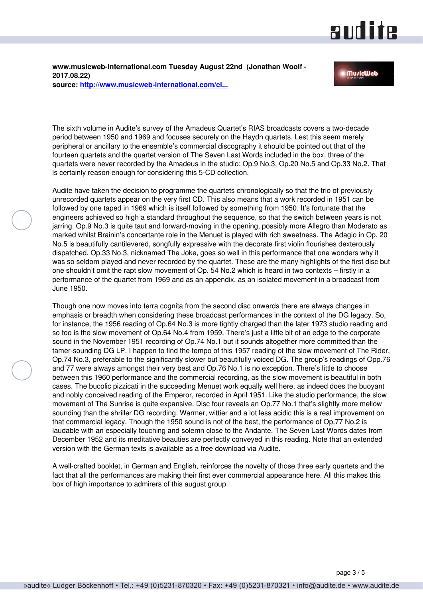### and ite

<span id="page-2-0"></span>**www.musicweb-international.com Tuesday August 22nd (Jonathan Woolf - 2017.08.22) source: [http://www.musicweb-international.com/cl...](http://www.musicweb-international.com/classrev/2017/Aug/Haydn_quartets_21426.htm)**

#### **MuricWeb**

The sixth volume in Audite's survey of the Amadeus Quartet's RIAS broadcasts covers a two-decade period between 1950 and 1969 and focuses securely on the Haydn quartets. Lest this seem merely peripheral or ancillary to the ensemble's commercial discography it should be pointed out that of the fourteen quartets and the quartet version of The Seven Last Words included in the box, three of the quartets were never recorded by the Amadeus in the studio: Op.9 No.3, Op.20 No.5 and Op.33 No.2. That is certainly reason enough for considering this 5-CD collection.

Audite have taken the decision to programme the quartets chronologically so that the trio of previously unrecorded quartets appear on the very first CD. This also means that a work recorded in 1951 can be followed by one taped in 1969 which is itself followed by something from 1950. It's fortunate that the engineers achieved so high a standard throughout the sequence, so that the switch between years is not jarring. Op.9 No.3 is quite taut and forward-moving in the opening, possibly more Allegro than Moderato as marked whilst Brainin's concertante role in the Menuet is played with rich sweetness. The Adagio in Op. 20 No.5 is beautifully cantilevered, songfully expressive with the decorate first violin flourishes dexterously dispatched. Op.33 No.3, nicknamed The Joke, goes so well in this performance that one wonders why it was so seldom played and never recorded by the quartet. These are the many highlights of the first disc but one shouldn't omit the rapt slow movement of Op. 54 No.2 which is heard in two contexts – firstly in a performance of the quartet from 1969 and as an appendix, as an isolated movement in a broadcast from June 1950.

Though one now moves into terra cognita from the second disc onwards there are always changes in emphasis or breadth when considering these broadcast performances in the context of the DG legacy. So, for instance, the 1956 reading of Op.64 No.3 is more tightly charged than the later 1973 studio reading and so too is the slow movement of Op.64 No.4 from 1959. There's just a little bit of an edge to the corporate sound in the November 1951 recording of Op.74 No.1 but it sounds altogether more committed than the tamer-sounding DG LP. I happen to find the tempo of this 1957 reading of the slow movement of The Rider, Op.74 No.3, preferable to the significantly slower but beautifully voiced DG. The group's readings of Opp.76 and 77 were always amongst their very best and Op.76 No.1 is no exception. There's little to choose between this 1960 performance and the commercial recording, as the slow movement is beautiful in both cases. The bucolic pizzicati in the succeeding Menuet work equally well here, as indeed does the buoyant and nobly conceived reading of the Emperor, recorded in April 1951. Like the studio performance, the slow movement of The Sunrise is quite expansive. Disc four reveals an Op.77 No.1 that's slightly more mellow sounding than the shriller DG recording. Warmer, wittier and a lot less acidic this is a real improvement on that commercial legacy. Though the 1950 sound is not of the best, the performance of Op.77 No.2 is laudable with an especially touching and solemn close to the Andante. The Seven Last Words dates from December 1952 and its meditative beauties are perfectly conveyed in this reading. Note that an extended version with the German texts is available as a free download via Audite.

A well-crafted booklet, in German and English, reinforces the novelty of those three early quartets and the fact that all the performances are making their first ever commercial appearance here. All this makes this box of high importance to admirers of this august group.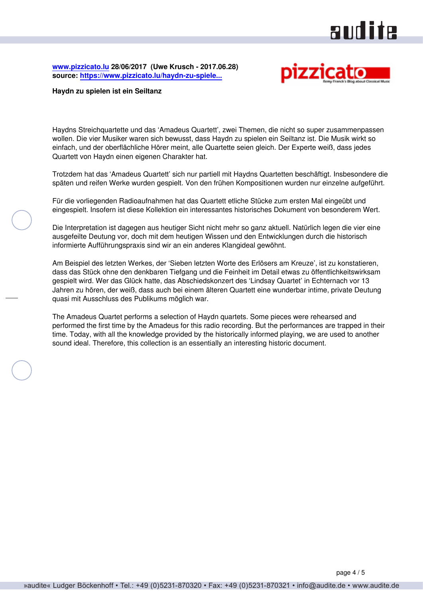### audite

<span id="page-3-0"></span>**[www.pizzicato.lu](http://www.pizzicato.lu) 28/06/2017 (Uwe Krusch - 2017.06.28) source: [https://www.pizzicato.lu/haydn-zu-spiele...](https://www.pizzicato.lu/haydn-zu-spielen-ist-ein-seiltanz/)**



#### **Haydn zu spielen ist ein Seiltanz**

Haydns Streichquartette und das 'Amadeus Quartett', zwei Themen, die nicht so super zusammenpassen wollen. Die vier Musiker waren sich bewusst, dass Haydn zu spielen ein Seiltanz ist. Die Musik wirkt so einfach, und der oberflächliche Hörer meint, alle Quartette seien gleich. Der Experte weiß, dass jedes Quartett von Haydn einen eigenen Charakter hat.

Trotzdem hat das 'Amadeus Quartett' sich nur partiell mit Haydns Quartetten beschäftigt. Insbesondere die späten und reifen Werke wurden gespielt. Von den frühen Kompositionen wurden nur einzelne aufgeführt.

Für die vorliegenden Radioaufnahmen hat das Quartett etliche Stücke zum ersten Mal eingeübt und eingespielt. Insofern ist diese Kollektion ein interessantes historisches Dokument von besonderem Wert.

Die Interpretation ist dagegen aus heutiger Sicht nicht mehr so ganz aktuell. Natürlich legen die vier eine ausgefeilte Deutung vor, doch mit dem heutigen Wissen und den Entwicklungen durch die historisch informierte Aufführungspraxis sind wir an ein anderes Klangideal gewöhnt.

Am Beispiel des letzten Werkes, der 'Sieben letzten Worte des Erlösers am Kreuze', ist zu konstatieren, dass das Stück ohne den denkbaren Tiefgang und die Feinheit im Detail etwas zu öffentlichkeitswirksam gespielt wird. Wer das Glück hatte, das Abschiedskonzert des 'Lindsay Quartet' in Echternach vor 13 Jahren zu hören, der weiß, dass auch bei einem älteren Quartett eine wunderbar intime, private Deutung quasi mit Ausschluss des Publikums möglich war.

The Amadeus Quartet performs a selection of Haydn quartets. Some pieces were rehearsed and performed the first time by the Amadeus for this radio recording. But the performances are trapped in their time. Today, with all the knowledge provided by the historically informed playing, we are used to another sound ideal. Therefore, this collection is an essentially an interesting historic document.